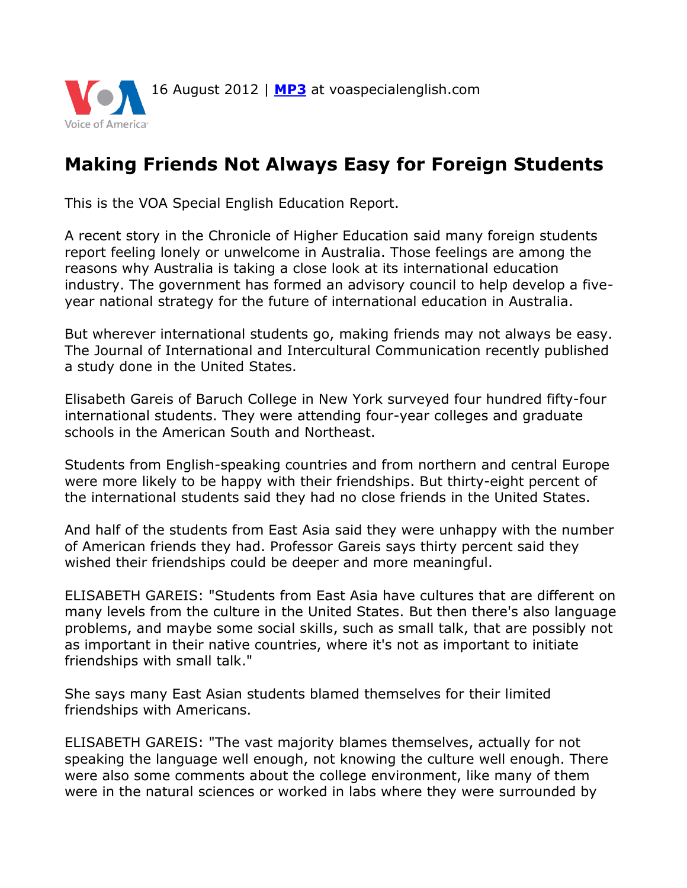

## **Making Friends Not Always Easy for Foreign Students**

This is the VOA Special English Education Report.

A recent story in the Chronicle of Higher Education said many foreign students report feeling lonely or unwelcome in Australia. Those feelings are among the reasons why Australia is taking a close look at its international education industry. The government has formed an advisory council to help develop a fiveyear national strategy for the future of international education in Australia.

But wherever international students go, making friends may not always be easy. The Journal of International and Intercultural Communication recently published a study done in the United States.

Elisabeth Gareis of Baruch College in New York surveyed four hundred fifty-four international students. They were attending four-year colleges and graduate schools in the American South and Northeast.

Students from English-speaking countries and from northern and central Europe were more likely to be happy with their friendships. But thirty-eight percent of the international students said they had no close friends in the United States.

And half of the students from East Asia said they were unhappy with the number of American friends they had. Professor Gareis says thirty percent said they wished their friendships could be deeper and more meaningful.

ELISABETH GAREIS: "Students from East Asia have cultures that are different on many levels from the culture in the United States. But then there's also language problems, and maybe some social skills, such as small talk, that are possibly not as important in their native countries, where it's not as important to initiate friendships with small talk."

She says many East Asian students blamed themselves for their limited friendships with Americans.

ELISABETH GAREIS: "The vast majority blames themselves, actually for not speaking the language well enough, not knowing the culture well enough. There were also some comments about the college environment, like many of them were in the natural sciences or worked in labs where they were surrounded by